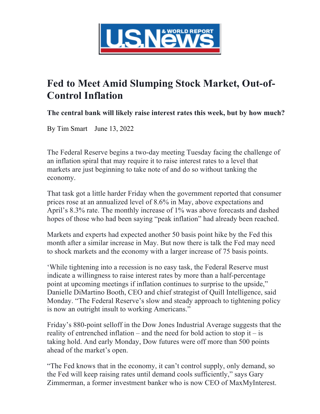

## **Fed to Meet Amid Slumping Stock Market, Out-of-Control Inflation**

**The central bank will likely raise interest rates this week, but by how much?**

By Tim Smart June 13, 2022

The Federal Reserve begins a two-day meeting Tuesday facing the challenge of an inflation spiral that may require it to raise interest rates to a level that markets are just beginning to take note of and do so without tanking the economy.

That task got a little harder Friday when the government reported that consumer prices rose at an annualized level of 8.6% in May, above expectations and April's 8.3% rate. The monthly increase of 1% was above forecasts and dashed hopes of those who had been saying "peak inflation" had already been reached.

Markets and experts had expected another 50 basis point hike by the Fed this month after a similar increase in May. But now there is talk the Fed may need to shock markets and the economy with a larger increase of 75 basis points.

'While tightening into a recession is no easy task, the Federal Reserve must indicate a willingness to raise interest rates by more than a half-percentage point at upcoming meetings if inflation continues to surprise to the upside," Danielle DiMartino Booth, CEO and chief strategist of Quill Intelligence, said Monday. "The Federal Reserve's slow and steady approach to tightening policy is now an outright insult to working Americans."

Friday's 880-point selloff in the Dow Jones Industrial Average suggests that the reality of entrenched inflation – and the need for bold action to stop it – is taking hold. And early Monday, Dow futures were off more than 500 points ahead of the market's open.

"The Fed knows that in the economy, it can't control supply, only demand, so the Fed will keep raising rates until demand cools sufficiently," says Gary Zimmerman, a former investment banker who is now CEO of MaxMyInterest.